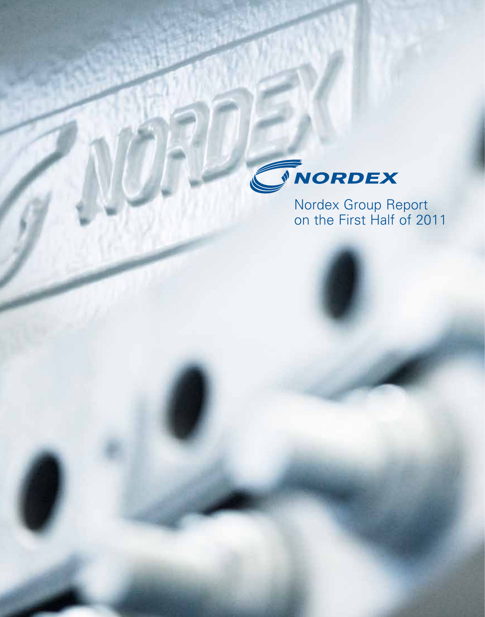

Nordex Group Report on the First Half of 2011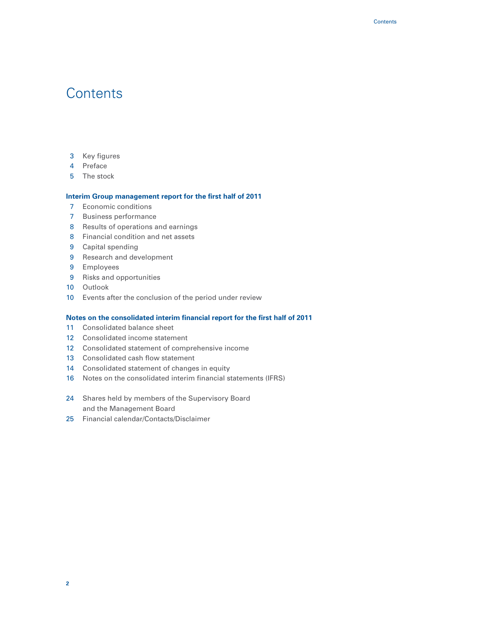# **Contents**

- Key figures
- Preface
- The stock

# **Interim Group management report for the first half of 2011**

- Economic conditions
- Business performance
- Results of operations and earnings
- Financial condition and net assets
- Capital spending
- Research and development
- Employees
- Risks and opportunities
- Outlook
- Events after the conclusion of the period under review

# **Notes on the consolidated interim financial report for the first half of 2011**

- Consolidated balance sheet
- Consolidated income statement
- Consolidated statement of comprehensive income
- 13 Consolidated cash flow statement
- Consolidated statement of changes in equity
- Notes on the consolidated interim financial statements (IFRS)
- Shares held by members of the Supervisory Board and the Management Board
- Financial calendar/Contacts/Disclaimer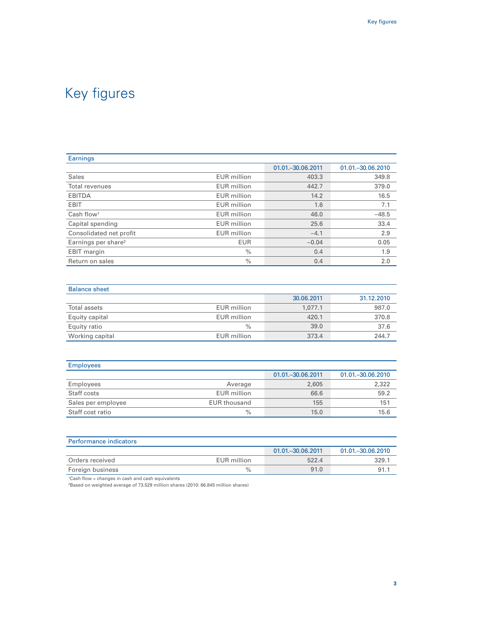| Earnings                        |                    |                     |                     |
|---------------------------------|--------------------|---------------------|---------------------|
|                                 |                    | 01.01. - 30.06.2011 | 01.01. - 30.06.2010 |
| Sales                           | <b>EUR</b> million | 403.3               | 349.8               |
| Total revenues                  | <b>EUR</b> million | 442.7               | 379.0               |
| <b>EBITDA</b>                   | <b>EUR</b> million | 14.2                | 16.5                |
| <b>EBIT</b>                     | <b>EUR</b> million | 1.6                 | 7.1                 |
| Cash flow <sup>1</sup>          | <b>EUR</b> million | 46.0                | $-48.5$             |
| Capital spending                | <b>EUR</b> million | 25.6                | 33.4                |
| Consolidated net profit         | <b>EUR</b> million | $-4.1$              | 2.9                 |
| Earnings per share <sup>2</sup> | <b>EUR</b>         | $-0.04$             | 0.05                |
| EBIT margin                     | $\%$               | 0.4                 | 1.9                 |
| Return on sales                 | $\%$               | 0.4                 | 2.0                 |

| <b>Balance sheet</b> |                    |            |            |
|----------------------|--------------------|------------|------------|
|                      |                    | 30.06.2011 | 31.12.2010 |
| Total assets         | <b>EUR</b> million | 1.077.1    | 987.0      |
| Equity capital       | EUR million        | 420.1      | 370.8      |
| Equity ratio         | $\frac{0}{0}$      | 39.0       | 37.6       |
| Working capital      | EUR million        | 373.4      | 244.7      |

| <b>Employees</b>   |                     |                     |                     |
|--------------------|---------------------|---------------------|---------------------|
|                    |                     | 01.01. - 30.06.2011 | 01.01. - 30.06.2010 |
| Employees          | Average             | 2,605               | 2,322               |
| Staff costs        | EUR million         | 66.6                | 59.2                |
| Sales per employee | <b>EUR thousand</b> | 155                 | 151                 |
| Staff cost ratio   | $\%$                | 15.0                | 15.6                |

| Performance indicators |             |                     |                     |
|------------------------|-------------|---------------------|---------------------|
|                        |             | 01.01. - 30.06.2011 | 01.01. - 30.06.2010 |
| Orders received        | EUR million | 522.4               | 329.1               |
| Foreign business       | $\%$        | 91.0                | 91.7                |

1Cash flow = changes in cash and cash equivalents

2Based on weighted average of 73.529 million shares (2010: 66.845 million shares)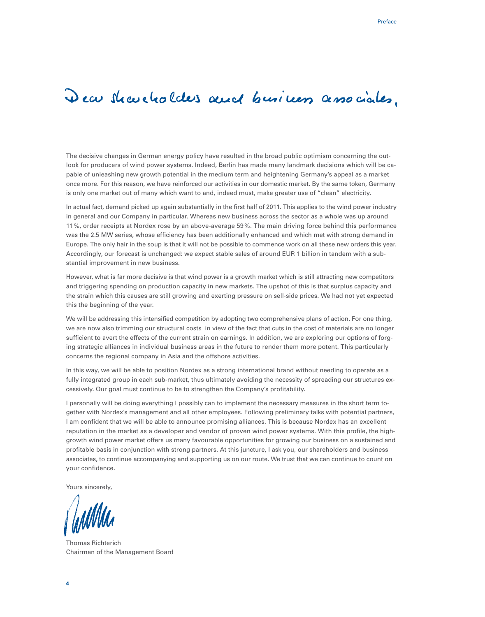# Dear shareholders and business associates.

The decisive changes in German energy policy have resulted in the broad public optimism concerning the outlook for producers of wind power systems. Indeed, Berlin has made many landmark decisions which will be capable of unleashing new growth potential in the medium term and heightening Germany's appeal as a market once more. For this reason, we have reinforced our activities in our domestic market. By the same token, Germany is only one market out of many which want to and, indeed must, make greater use of "clean" electricity.

In actual fact, demand picked up again substantially in the first half of 2011. This applies to the wind power industry in general and our Company in particular. Whereas new business across the sector as a whole was up around 11%, order receipts at Nordex rose by an above-average 59 %. The main driving force behind this performance was the 2.5 MW series, whose efficiency has been additionally enhanced and which met with strong demand in Europe. The only hair in the soup is that it will not be possible to commence work on all these new orders this year. Accordingly, our forecast is unchanged: we expect stable sales of around EUR 1 billion in tandem with a substantial improvement in new business.

However, what is far more decisive is that wind power is a growth market which is still attracting new competitors and triggering spending on production capacity in new markets. The upshot of this is that surplus capacity and the strain which this causes are still growing and exerting pressure on sell-side prices. We had not yet expected this the beginning of the year.

We will be addressing this intensified competition by adopting two comprehensive plans of action. For one thing, we are now also trimming our structural costs in view of the fact that cuts in the cost of materials are no longer sufficient to avert the effects of the current strain on earnings. In addition, we are exploring our options of forging strategic alliances in individual business areas in the future to render them more potent. This particularly concerns the regional company in Asia and the offshore activities.

In this way, we will be able to position Nordex as a strong international brand without needing to operate as a fully integrated group in each sub-market, thus ultimately avoiding the necessity of spreading our structures excessively. Our goal must continue to be to strengthen the Company's profitability.

I personally will be doing everything I possibly can to implement the necessary measures in the short term together with Nordex's management and all other employees. Following preliminary talks with potential partners, I am confident that we will be able to announce promising alliances. This is because Nordex has an excellent reputation in the market as a developer and vendor of proven wind power systems. With this profile, the highgrowth wind power market offers us many favourable opportunities for growing our business on a sustained and profitable basis in conjunction with strong partners. At this juncture, I ask you, our shareholders and business associates, to continue accompanying and supporting us on our route. We trust that we can continue to count on your confidence.

Yours sincerely,

Thomas Richterich Chairman of the Management Board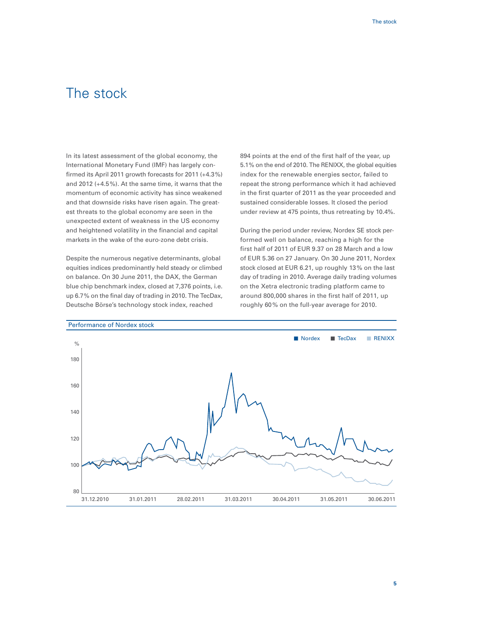# The stock

In its latest assessment of the global economy, the International Monetary Fund (IMF) has largely confirmed its April 2011 growth forecasts for 2011 (+4.3%) and 2012 (+4.5%). At the same time, it warns that the momentum of economic activity has since weakened and that downside risks have risen again. The greatest threats to the global economy are seen in the unexpected extent of weakness in the US economy and heightened volatility in the financial and capital markets in the wake of the euro-zone debt crisis.

Despite the numerous negative determinants, global equities indices predominantly held steady or climbed on balance. On 30 June 2011, the DAX, the German blue chip benchmark index, closed at 7,376 points, i.e. up 6.7% on the final day of trading in 2010. The TecDax, Deutsche Börse's technology stock index, reached

894 points at the end of the first half of the year, up 5.1% on the end of 2010. The RENIXX, the global equities index for the renewable energies sector, failed to repeat the strong performance which it had achieved in the first quarter of 2011 as the year proceeded and sustained considerable losses. It closed the period under review at 475 points, thus retreating by 10.4%.

During the period under review, Nordex SE stock performed well on balance, reaching a high for the first half of 2011 of EUR 9.37 on 28 March and a low of EUR 5.36 on 27 January. On 30 June 2011, Nordex stock closed at EUR 6.21, up roughly 13% on the last day of trading in 2010. Average daily trading volumes on the Xetra electronic trading platform came to around 800,000 shares in the first half of 2011, up roughly 60% on the full-year average for 2010.

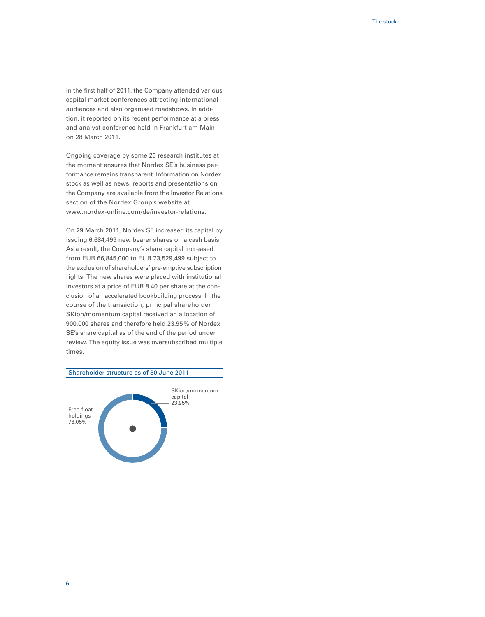In the first half of 2011, the Company attended various capital market conferences attracting international audiences and also organised roadshows. In addition, it reported on its recent performance at a press and analyst conference held in Frankfurt am Main on 28 March 2011.

Ongoing coverage by some 20 research institutes at the moment ensures that Nordex SE's business performance remains transparent. Information on Nordex stock as well as news, reports and presentations on the Company are available from the Investor Relations section of the Nordex Group's website at www.nordex-online.com/de/investor-relations.

On 29 March 2011, Nordex SE increased its capital by issuing 6,684,499 new bearer shares on a cash basis. As a result, the Company's share capital increased from EUR 66,845,000 to EUR 73,529,499 subject to the exclusion of shareholders' pre-emptive subscription rights. The new shares were placed with institutional investors at a price of EUR 8.40 per share at the conclusion of an accelerated bookbuilding process. In the course of the transaction, principal shareholder SKion/momentum capital received an allocation of 900,000 shares and therefore held 23.95% of Nordex SE's share capital as of the end of the period under review. The equity issue was oversubscribed multiple times.

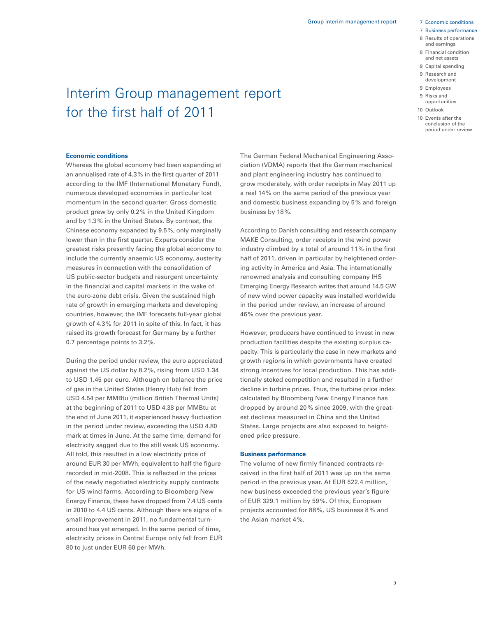#### 7 Business performance

- 8 Results of operations and earnings
- 8 Financial condition and net assets
- 9 Capital spending
- 9 Research and development
- 9 Employees
- 9 Risks and
- opportunities
- 10 Outlook
- 10 Events after the conclusion of the period under review

# Interim Group management report for the first half of 2011

### **Economic conditions**

Whereas the global economy had been expanding at an annualised rate of 4.3% in the first quarter of 2011 according to the IMF (International Monetary Fund), numerous developed economies in particular lost momentum in the second quarter. Gross domestic product grew by only 0.2% in the United Kingdom and by 1.3% in the United States. By contrast, the Chinese economy expanded by 9.5%, only marginally lower than in the first quarter. Experts consider the greatest risks presently facing the global economy to include the currently anaemic US economy, austerity measures in connection with the consolidation of US public-sector budgets and resurgent uncertainty in the financial and capital markets in the wake of the euro-zone debt crisis. Given the sustained high rate of growth in emerging markets and developing countries, however, the IMF forecasts full-year global growth of 4.3% for 2011 in spite of this. In fact, it has raised its growth forecast for Germany by a further 0.7 percentage points to 3.2%.

During the period under review, the euro appreciated against the US dollar by 8.2%, rising from USD 1.34 to USD 1.45 per euro. Although on balance the price of gas in the United States (Henry Hub) fell from USD 4.54 per MMBtu (million British Thermal Units) at the beginning of 2011 to USD 4.38 per MMBtu at the end of June 2011, it experienced heavy fluctuation in the period under review, exceeding the USD 4.80 mark at times in June. At the same time, demand for electricity sagged due to the still weak US economy. All told, this resulted in a low electricity price of around EUR 30 per MWh, equivalent to half the figure recorded in mid-2008. This is reflected in the prices of the newly negotiated electricity supply contracts for US wind farms. According to Bloomberg New Energy Finance, these have dropped from 7.4 US cents in 2010 to 4.4 US cents. Although there are signs of a small improvement in 2011, no fundamental turnaround has yet emerged. In the same period of time, electricity prices in Central Europe only fell from EUR 80 to just under EUR 60 per MWh.

The German Federal Mechanical Engineering Association (VDMA) reports that the German mechanical and plant engineering industry has continued to grow moderately, with order receipts in May 2011 up a real 14% on the same period of the previous year and domestic business expanding by 5% and foreign business by 18%.

According to Danish consulting and research company MAKE Consulting, order receipts in the wind power industry climbed by a total of around 11% in the first half of 2011, driven in particular by heightened ordering activity in America and Asia. The internationally renowned analysis and consulting company IHS Emerging Energy Research writes that around 14.5 GW of new wind power capacity was installed worldwide in the period under review, an increase of around 46% over the previous year.

However, producers have continued to invest in new production facilities despite the existing surplus capacity. This is particularly the case in new markets and growth regions in which governments have created strong incentives for local production. This has additionally stoked competition and resulted in a further decline in turbine prices. Thus, the turbine price index calculated by Bloomberg New Energy Finance has dropped by around 20% since 2009, with the greatest declines measured in China and the United States. Large projects are also exposed to heightened price pressure.

#### **Business performance**

The volume of new firmly financed contracts received in the first half of 2011 was up on the same period in the previous year. At EUR 522.4 million, new business exceeded the previous year's figure of EUR 329.1 million by 59%. Of this, European projects accounted for 88%, US business 8% and the Asian market 4%.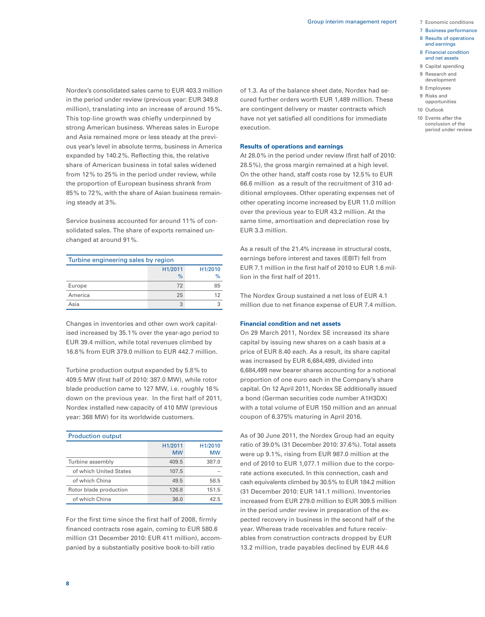- 
- 7 Business performance
- 8 Results of operations and earnings
- 8 Financial condition and net assets
- 9 Capital spending
- 9 Research and
- development
- 9 Employees
- 9 Risks and opportunities
- 10 Outlook
- 10 Events after the conclusion of the period under review

Nordex's consolidated sales came to EUR 403.3 million in the period under review (previous year: EUR 349.8 million), translating into an increase of around 15%. This top-line growth was chiefly underpinned by strong American business. Whereas sales in Europe and Asia remained more or less steady at the previous year's level in absolute terms, business in America expanded by 140.2%. Reflecting this, the relative share of American business in total sales widened from 12% to 25% in the period under review, while the proportion of European business shrank from 85% to 72%, with the share of Asian business remaining steady at 3%.

Service business accounted for around 11% of consolidated sales. The share of exports remained unchanged at around 91%.

| Turbine engineering sales by region      |    |    |  |  |  |
|------------------------------------------|----|----|--|--|--|
| H1/2011<br>H1/2010<br>%<br>$\frac{9}{6}$ |    |    |  |  |  |
| Europe                                   | 72 | 85 |  |  |  |
| America                                  | 25 | 12 |  |  |  |
| Asia                                     | 3  |    |  |  |  |

Changes in inventories and other own work capitalised increased by 35.1% over the year-ago period to EUR 39.4 million, while total revenues climbed by 16.8% from EUR 379.0 million to EUR 442.7 million.

Turbine production output expanded by 5.8% to 409.5 MW (first half of 2010: 387.0 MW), while rotor blade production came to 127 MW, i.e. roughly 16% down on the previous year. In the first half of 2011, Nordex installed new capacity of 410 MW (previous year: 368 MW) for its worldwide customers.

| <b>Production output</b> |                      |                      |  |  |
|--------------------------|----------------------|----------------------|--|--|
|                          | H1/2011<br><b>MW</b> | H1/2010<br><b>MW</b> |  |  |
| Turbine assembly         | 409.5                | 387.0                |  |  |
| of which United States   | 107.5                |                      |  |  |
| of which China           | 49.5                 | 58.5                 |  |  |
| Rotor blade production   | 126.8                | 151.5                |  |  |
| of which China           | 36.0                 | 42.5                 |  |  |

For the first time since the first half of 2008, firmly financed contracts rose again, coming to EUR 580.6 million (31 December 2010: EUR 411 million), accompanied by a substantially positive book-to-bill ratio

of 1.3. As of the balance sheet date, Nordex had secured further orders worth EUR 1,489 million. These are contingent delivery or master contracts which have not yet satisfied all conditions for immediate execution.

### **Results of operations and earnings**

At 28.0% in the period under review (first half of 2010: 28.5%), the gross margin remained at a high level. On the other hand, staff costs rose by 12.5% to EUR 66.6 million as a result of the recruitment of 310 additional employees. Other operating expenses net of other operating income increased by EUR 11.0 million over the previous year to EUR 43.2 million. At the same time, amortisation and depreciation rose by EUR 3.3 million.

As a result of the 21.4% increase in structural costs, earnings before interest and taxes (EBIT) fell from EUR 7.1 million in the first half of 2010 to EUR 1.6 million in the first half of 2011.

The Nordex Group sustained a net loss of EUR 4.1 million due to net finance expense of EUR 7.4 million.

### **Financial condition and net assets**

On 29 March 2011, Nordex SE increased its share capital by issuing new shares on a cash basis at a price of EUR 8.40 each. As a result, its share capital was increased by EUR 6,684,499, divided into 6,684,499 new bearer shares accounting for a notional proportion of one euro each in the Company's share capital. On 12 April 2011, Nordex SE additionally issued a bond (German securities code number A1H3DX) with a total volume of EUR 150 million and an annual coupon of 6.375% maturing in April 2016.

As of 30 June 2011, the Nordex Group had an equity ratio of 39.0% (31 December 2010: 37.6%). Total assets were up 9.1%, rising from EUR 987.0 million at the end of 2010 to EUR 1,077.1 million due to the corporate actions executed. In this connection, cash and cash equivalents climbed by 30.5% to EUR 184.2 million (31 December 2010: EUR 141.1 million). Inventories increased from EUR 279.0 million to EUR 309.5 million in the period under review in preparation of the expected recovery in business in the second half of the year. Whereas trade receivables and future receivables from construction contracts dropped by EUR 13.2 million, trade payables declined by EUR 44.6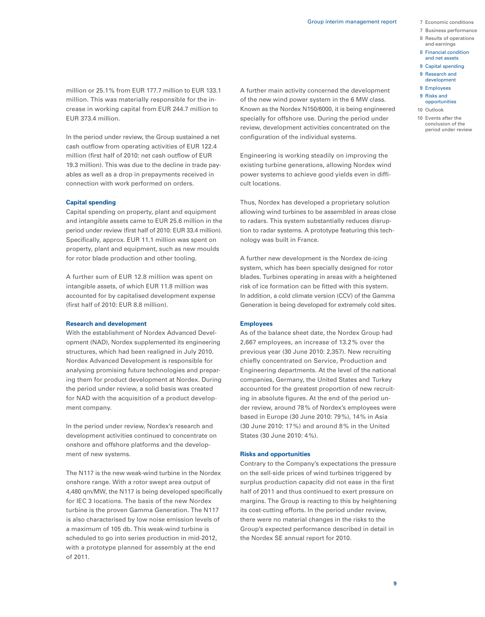- 
- 7 Business performance
- 8 Results of operations and earnings
- 8 Financial condition and net assets
- 9 Capital spending
- 9 Research and
- development
- 9 Employees
- 9 Risks and opportunities
- 10 Outlook
- 10 Events after the conclusion of the period under review

million or 25.1% from EUR 177.7 million to EUR 133.1 million. This was materially responsible for the increase in working capital from EUR 244.7 million to EUR 373.4 million.

In the period under review, the Group sustained a net cash outflow from operating activities of EUR 122.4 million (first half of 2010: net cash outflow of EUR 19.3 million). This was due to the decline in trade payables as well as a drop in prepayments received in connection with work performed on orders.

## **Capital spending**

Capital spending on property, plant and equipment and intangible assets came to EUR 25.6 million in the period under review (first half of 2010: EUR 33.4 million). Specifically, approx. EUR 11.1 million was spent on property, plant and equipment, such as new moulds for rotor blade production and other tooling.

A further sum of EUR 12.8 million was spent on intangible assets, of which EUR 11.8 million was accounted for by capitalised development expense (first half of 2010: EUR 8.8 million).

# **Research and development**

With the establishment of Nordex Advanced Development (NAD), Nordex supplemented its engineering structures, which had been realigned in July 2010. Nordex Advanced Development is responsible for analysing promising future technologies and preparing them for product development at Nordex. During the period under review, a solid basis was created for NAD with the acquisition of a product development company.

In the period under review, Nordex's research and development activities continued to concentrate on onshore and offshore platforms and the development of new systems.

The N117 is the new weak-wind turbine in the Nordex onshore range. With a rotor swept area output of 4,480 qm/MW, the N117 is being developed specifically for IEC 3 locations. The basis of the new Nordex turbine is the proven Gamma Generation. The N117 is also characterised by low noise emission levels of a maximum of 105 db. This weak-wind turbine is scheduled to go into series production in mid-2012, with a prototype planned for assembly at the end of 2011.

A further main activity concerned the development of the new wind power system in the 6 MW class. Known as the Nordex N150/6000, it is being engineered specially for offshore use. During the period under review, development activities concentrated on the configuration of the individual systems.

Engineering is working steadily on improving the existing turbine generations, allowing Nordex wind power systems to achieve good yields even in difficult locations.

Thus, Nordex has developed a proprietary solution allowing wind turbines to be assembled in areas close to radars. This system substantially reduces disruption to radar systems. A prototype featuring this technology was built in France.

A further new development is the Nordex de-icing system, which has been specially designed for rotor blades. Turbines operating in areas with a heightened risk of ice formation can be fitted with this system. In addition, a cold climate version (CCV) of the Gamma Generation is being developed for extremely cold sites.

## **Employees**

As of the balance sheet date, the Nordex Group had 2,667 employees, an increase of 13.2 % over the previous year (30 June 2010: 2,357). New recruiting chiefly concentrated on Service, Production and Engineering departments. At the level of the national companies, Germany, the United States and Turkey accounted for the greatest proportion of new recruiting in absolute figures. At the end of the period under review, around 78% of Nordex's employees were based in Europe (30 June 2010: 79%), 14% in Asia (30 June 2010: 17%) and around 8% in the United States (30 June 2010: 4%).

### **Risks and opportunities**

Contrary to the Company's expectations the pressure on the sell-side prices of wind turbines triggered by surplus production capacity did not ease in the first half of 2011 and thus continued to exert pressure on margins. The Group is reacting to this by heightening its cost-cutting efforts. In the period under review, there were no material changes in the risks to the Group's expected performance described in detail in the Nordex SE annual report for 2010.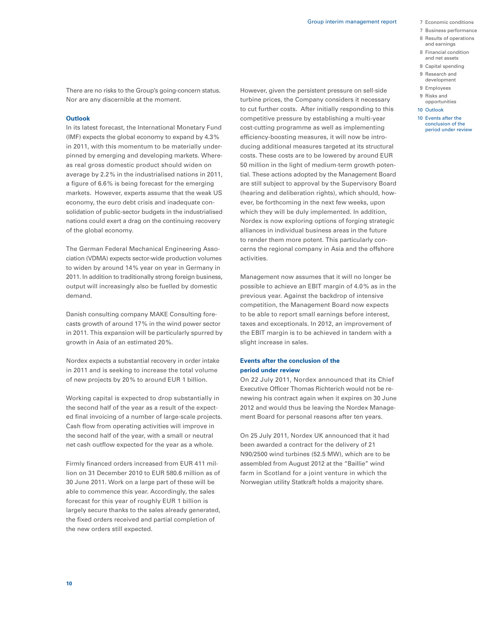- 
- 7 Business performance
- 8 Results of operations and earnings
- 8 Financial condition
- and net assets 9 Capital spending 9 Research and

 development 9 Employees 9 Risks and opportunities 10 Outlook 10 Events after the conclusion of the period under review

There are no risks to the Group's going-concern status. Nor are any discernible at the moment.

#### **Outlook**

In its latest forecast, the International Monetary Fund (IMF) expects the global economy to expand by 4.3% in 2011, with this momentum to be materially underpinned by emerging and developing markets. Whereas real gross domestic product should widen on average by 2.2% in the industrialised nations in 2011, a figure of 6.6% is being forecast for the emerging markets. However, experts assume that the weak US economy, the euro debt crisis and inadequate consolidation of public-sector budgets in the industrialised nations could exert a drag on the continuing recovery of the global economy.

The German Federal Mechanical Engineering Association (VDMA) expects sector-wide production volumes to widen by around 14% year on year in Germany in 2011. In addition to traditionally strong foreign business, output will increasingly also be fuelled by domestic demand.

Danish consulting company MAKE Consulting forecasts growth of around 17% in the wind power sector in 2011. This expansion will be particularly spurred by growth in Asia of an estimated 20%.

Nordex expects a substantial recovery in order intake in 2011 and is seeking to increase the total volume of new projects by 20% to around EUR 1 billion.

Working capital is expected to drop substantially in the second half of the year as a result of the expected final invoicing of a number of large-scale projects. Cash flow from operating activities will improve in the second half of the year, with a small or neutral net cash outflow expected for the year as a whole.

Firmly financed orders increased from EUR 411 million on 31 December 2010 to EUR 580.6 million as of 30 June 2011. Work on a large part of these will be able to commence this year. Accordingly, the sales forecast for this year of roughly EUR 1 billion is largely secure thanks to the sales already generated, the fixed orders received and partial completion of the new orders still expected.

However, given the persistent pressure on sell-side turbine prices, the Company considers it necessary to cut further costs. After initially responding to this competitive pressure by establishing a multi-year cost-cutting programme as well as implementing efficiency-boosting measures, it will now be introducing additional measures targeted at its structural costs. These costs are to be lowered by around EUR 50 million in the light of medium-term growth potential. These actions adopted by the Management Board are still subject to approval by the Supervisory Board (hearing and deliberation rights), which should, however, be forthcoming in the next few weeks, upon which they will be duly implemented. In addition, Nordex is now exploring options of forging strategic alliances in individual business areas in the future to render them more potent. This particularly concerns the regional company in Asia and the offshore activities.

Management now assumes that it will no longer be possible to achieve an EBIT margin of 4.0% as in the previous year. Against the backdrop of intensive competition, the Management Board now expects to be able to report small earnings before interest, taxes and exceptionals. In 2012, an improvement of the EBIT margin is to be achieved in tandem with a slight increase in sales.

## **Events after the conclusion of the period under review**

On 22 July 2011, Nordex announced that its Chief Executive Officer Thomas Richterich would not be renewing his contract again when it expires on 30 June 2012 and would thus be leaving the Nordex Management Board for personal reasons after ten years.

On 25 July 2011, Nordex UK announced that it had been awarded a contract for the delivery of 21 N90/2500 wind turbines (52.5 MW), which are to be assembled from August 2012 at the "Baillie" wind farm in Scotland for a joint venture in which the Norwegian utility Statkraft holds a majority share.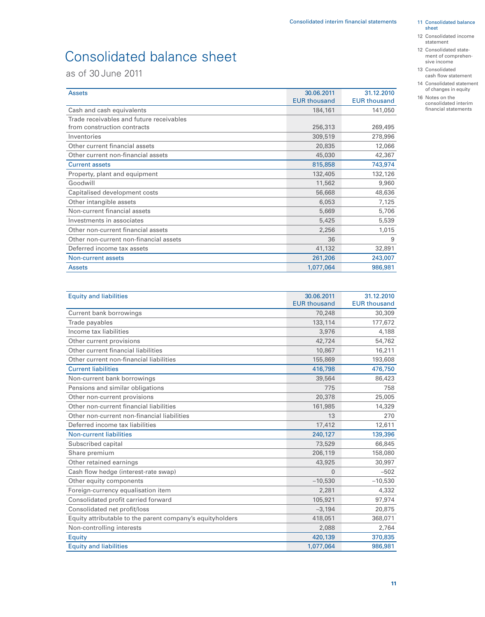# Consolidated balance sheet

as of 30 June 2011

| <b>Assets</b>                            | 30.06.2011          | 31.12.2010          |
|------------------------------------------|---------------------|---------------------|
|                                          | <b>EUR thousand</b> | <b>EUR thousand</b> |
| Cash and cash equivalents                | 184,161             | 141,050             |
| Trade receivables and future receivables |                     |                     |
| from construction contracts              | 256,313             | 269,495             |
| Inventories                              | 309,519             | 278,996             |
| Other current financial assets           | 20,835              | 12,066              |
| Other current non-financial assets       | 45,030              | 42,367              |
| <b>Current assets</b>                    | 815,858             | 743,974             |
| Property, plant and equipment            | 132,405             | 132,126             |
| Goodwill                                 | 11,562              | 9,960               |
| Capitalised development costs            | 56,668              | 48,636              |
| Other intangible assets                  | 6,053               | 7,125               |
| Non-current financial assets             | 5,669               | 5,706               |
| Investments in associates                | 5,425               | 5,539               |
| Other non-current financial assets       | 2,256               | 1,015               |
| Other non-current non-financial assets   | 36                  | 9                   |
| Deferred income tax assets               | 41,132              | 32,891              |
| Non-current assets                       | 261,206             | 243,007             |
| <b>Assets</b>                            | 1,077,064           | 986,981             |

| <b>Equity and liabilities</b>                             | 30.06.2011          | 31.12.2010          |
|-----------------------------------------------------------|---------------------|---------------------|
|                                                           | <b>EUR thousand</b> | <b>EUR thousand</b> |
| Current bank borrowings                                   | 70,248              | 30,309              |
| Trade payables                                            | 133,114             | 177,672             |
| Income tax liabilities                                    | 3,976               | 4,188               |
| Other current provisions                                  | 42,724              | 54,762              |
| Other current financial liabilities                       | 10,867              | 16,211              |
| Other current non-financial liabilities                   | 155,869             | 193,608             |
| <b>Current liabilities</b>                                | 416,798             | 476,750             |
| Non-current bank borrowings                               | 39,564              | 86,423              |
| Pensions and similar obligations                          | 775                 | 758                 |
| Other non-current provisions                              | 20,378              | 25,005              |
| Other non-current financial liabilities                   | 161,985             | 14,329              |
| Other non-current non-financial liabilities               | 13                  | 270                 |
| Deferred income tax liabilities                           | 17,412              | 12,611              |
| <b>Non-current liabilities</b>                            | 240,127             | 139,396             |
| Subscribed capital                                        | 73,529              | 66,845              |
| Share premium                                             | 206,119             | 158,080             |
| Other retained earnings                                   | 43,925              | 30,997              |
| Cash flow hedge (interest-rate swap)                      | 0                   | $-502$              |
| Other equity components                                   | $-10,530$           | $-10,530$           |
| Foreign-currency equalisation item                        | 2,281               | 4,332               |
| Consolidated profit carried forward                       | 105,921             | 97,974              |
| Consolidated net profit/loss                              | $-3,194$            | 20,875              |
| Equity attributable to the parent company's equityholders | 418,051             | 368,071             |
| Non-controlling interests                                 | 2,088               | 2,764               |
| Equity                                                    | 420,139             | 370,835             |
| <b>Equity and liabilities</b>                             | 1,077,064           | 986,981             |

11 Consolidated balance sheet

- 12 Consolidated income statement
- 12 Consolidated state ment of comprehensive income
- 13 Consolidated cash flow statement
- 14 Consolidated statement of changes in equity
- 16 Notes on the consolidated interim financial statements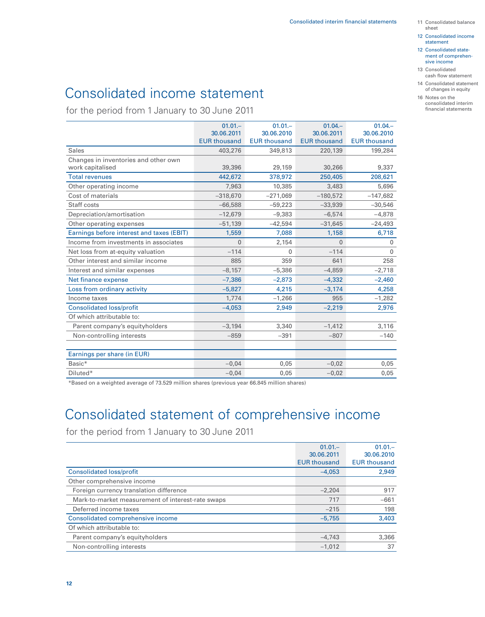- 12 Consolidated income statement
- 12 Consolidated state ment of comprehen sive income
- 13 Consolidated cash flow statement
	- 14 Consolidated statement of changes in equity
	- 16 Notes on the consolidated interim financial statements

# Consolidated income statement

for the period from 1 January to 30 June 2011

|                                           | $01.01 -$           | $01.01 -$           | $01.04 -$           | $01.04 -$           |
|-------------------------------------------|---------------------|---------------------|---------------------|---------------------|
|                                           | 30.06.2011          | 30.06.2010          | 30.06.2011          | 30.06.2010          |
|                                           | <b>EUR thousand</b> | <b>EUR thousand</b> | <b>EUR thousand</b> | <b>EUR thousand</b> |
| <b>Sales</b>                              | 403,276             | 349,813             | 220,139             | 199,284             |
| Changes in inventories and other own      |                     |                     |                     |                     |
| work capitalised                          | 39,396              | 29,159              | 30,266              | 9,337               |
| <b>Total revenues</b>                     | 442,672             | 378,972             | 250,405             | 208,621             |
| Other operating income                    | 7,963               | 10,385              | 3,483               | 5,696               |
| Cost of materials                         | $-318,670$          | $-271,069$          | $-180,572$          | $-147,682$          |
| Staff costs                               | $-66,588$           | $-59,223$           | $-33,939$           | $-30,546$           |
| Depreciation/amortisation                 | $-12,679$           | $-9,383$            | $-6,574$            | $-4,878$            |
| Other operating expenses                  | $-51,139$           | $-42,594$           | $-31,645$           | $-24,493$           |
| Earnings before interest and taxes (EBIT) | 1,559               | 7,088               | 1,158               | 6,718               |
| Income from investments in associates     | $\Omega$            | 2,154               | $\Omega$            | $\mathbf{0}$        |
| Net loss from at-equity valuation         | $-114$              | 0                   | $-114$              | $\mathbf{0}$        |
| Other interest and similar income         | 885                 | 359                 | 641                 | 258                 |
| Interest and similar expenses             | $-8,157$            | $-5,386$            | $-4,859$            | $-2,718$            |
| Net finance expense                       | $-7,386$            | $-2,873$            | $-4,332$            | $-2,460$            |
| Loss from ordinary activity               | $-5,827$            | 4,215               | $-3,174$            | 4,258               |
| Income taxes                              | 1,774               | $-1,266$            | 955                 | $-1,282$            |
| <b>Consolidated loss/profit</b>           | $-4,053$            | 2,949               | $-2,219$            | 2,976               |
| Of which attributable to:                 |                     |                     |                     |                     |
| Parent company's equityholders            | $-3,194$            | 3,340               | $-1,412$            | 3,116               |
| Non-controlling interests                 | $-859$              | $-391$              | $-807$              | $-140$              |
|                                           |                     |                     |                     |                     |
| Earnings per share (in EUR)               |                     |                     |                     |                     |
| Basic*                                    | $-0,04$             | 0,05                | $-0,02$             | 0,05                |
| Diluted*                                  | $-0,04$             | 0,05                | $-0,02$             | 0,05                |

\*Based on a weighted average of 73.529 million shares (previous year 66.845 million shares)

# Consolidated statement of comprehensive income

for the period from 1 January to 30 June 2011

|                                                   | $01.01 -$           | $01.01 -$           |
|---------------------------------------------------|---------------------|---------------------|
|                                                   | 30.06.2011          | 30.06.2010          |
|                                                   | <b>EUR thousand</b> | <b>EUR thousand</b> |
| <b>Consolidated loss/profit</b>                   | $-4,053$            | 2,949               |
| Other comprehensive income                        |                     |                     |
| Foreign currency translation difference           | $-2,204$            | 917                 |
| Mark-to-market measurement of interest-rate swaps | 717                 | $-661$              |
| Deferred income taxes                             | $-215$              | 198                 |
| Consolidated comprehensive income                 | $-5,755$            | 3,403               |
| Of which attributable to:                         |                     |                     |
| Parent company's equityholders                    | $-4,743$            | 3,366               |
| Non-controlling interests                         | $-1.012$            | 37                  |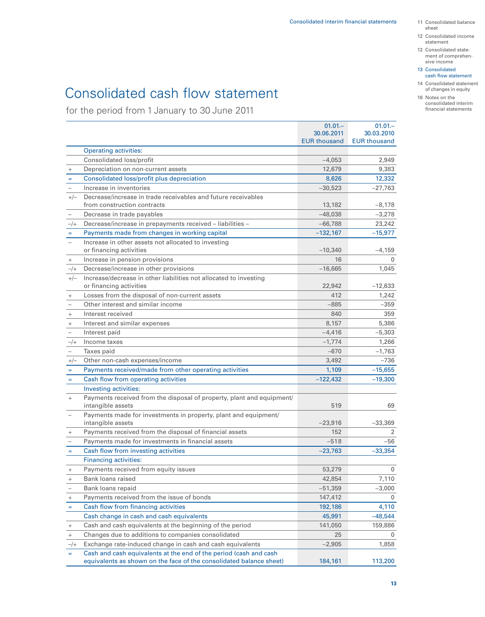- 11 Consolidated balance sheet
- 12 Consolidated income statement
- 12 Consolidated state ment of comprehensive income
- 13 Consolidated cash flow statement
- 14 Consolidated statement of changes in equity

#### 16 Notes on the consolidated interim financial statements

# Consolidated cash flow statement

for the period from 1 January to 30 June 2011

|                                  |                                                                                                                                          | $01.01 -$           | $01.01 -$           |
|----------------------------------|------------------------------------------------------------------------------------------------------------------------------------------|---------------------|---------------------|
|                                  |                                                                                                                                          | 30.06.2011          | 30.03.2010          |
|                                  |                                                                                                                                          | <b>EUR thousand</b> | <b>EUR thousand</b> |
|                                  | <b>Operating activities:</b>                                                                                                             |                     |                     |
|                                  | Consolidated loss/profit                                                                                                                 | $-4,053$            | 2,949               |
| $\begin{array}{c} + \end{array}$ | Depreciation on non-current assets                                                                                                       | 12,679              | 9,383               |
| $=$                              | Consolidated loss/profit plus depreciation                                                                                               | 8,626               | 12,332              |
|                                  | Increase in inventories                                                                                                                  | $-30,523$           | -27,763             |
| $+/-$                            | Decrease/increase in trade receivables and future receivables<br>from construction contracts                                             | 13,182              | $-8,178$            |
| $\qquad \qquad -$                | Decrease in trade payables                                                                                                               | $-48,038$           | $-3,278$            |
| $-/+$                            | Decrease/increase in prepayments received - liabilities -                                                                                | $-66,788$           | 23,242              |
| $\equiv$                         | Payments made from changes in working capital                                                                                            | $-132,167$          | $-15,977$           |
| $\overline{\phantom{0}}$         | Increase in other assets not allocated to investing<br>or financing activities                                                           | $-10,340$           | $-4,159$            |
| $\begin{array}{c} + \end{array}$ | Increase in pension provisions                                                                                                           | 16                  | $\Omega$            |
| $-/+$                            | Decrease/increase in other provisions                                                                                                    | $-16,665$           | 1,045               |
| $+/-$                            | Increase/decrease in other liabilities not allocated to investing                                                                        |                     |                     |
|                                  | or financing activities                                                                                                                  | 22,942              | $-12,633$           |
| $\begin{array}{c} + \end{array}$ | Losses from the disposal of non-current assets                                                                                           | 412                 | 1,242               |
|                                  | Other interest and similar income                                                                                                        | $-885$              | $-359$              |
| $^+$                             | Interest received                                                                                                                        | 840                 | 359                 |
| $\! + \!\!\!\!$                  | Interest and similar expenses                                                                                                            | 8,157               | 5,386               |
|                                  | Interest paid                                                                                                                            | $-4,416$            | $-5,303$            |
| $-/+$                            | Income taxes                                                                                                                             | $-1,774$            | 1,266               |
|                                  | Taxes paid                                                                                                                               | $-670$              | $-1,763$            |
| $+/-$                            | Other non-cash expenses/income                                                                                                           | 3,492               | $-736$              |
| $\equiv$                         | Payments received/made from other operating activities                                                                                   | 1,109               | $-15,655$           |
| $\equiv$                         | Cash flow from operating activities                                                                                                      | $-122,432$          | $-19,300$           |
|                                  | Investing activities:                                                                                                                    |                     |                     |
| $\qquad \qquad +$                | Payments received from the disposal of property, plant and equipment/<br>intangible assets                                               | 519                 | 69                  |
| $\overline{\phantom{0}}$         | Payments made for investments in property, plant and equipment/                                                                          |                     |                     |
|                                  | intangible assets                                                                                                                        | $-23,916$           | $-33,369$           |
| $\begin{array}{c} + \end{array}$ | Payments received from the disposal of financial assets                                                                                  | 152                 | 2                   |
|                                  | Payments made for investments in financial assets                                                                                        | $-518$              | -56                 |
| $\equiv$                         | Cash flow from investing activities                                                                                                      | $-23,763$           | $-33,354$           |
|                                  | <b>Financing activities:</b>                                                                                                             |                     |                     |
| $^{+}$                           | Payments received from equity issues                                                                                                     | 53,279              | 0                   |
| $\begin{array}{c} + \end{array}$ | Bank loans raised                                                                                                                        | 42,854              | 7,110               |
| $\qquad \qquad -$                | Bank loans repaid                                                                                                                        | $-51,359$           | $-3,000$            |
| $\begin{array}{c} + \end{array}$ | Payments received from the issue of bonds                                                                                                | 147,412             | 0                   |
| $\equiv$                         | Cash flow from financing activities                                                                                                      | 192,186             | 4,110               |
|                                  | Cash change in cash and cash equivalents                                                                                                 | 45,991              | $-48,544$           |
| $\begin{array}{c} + \end{array}$ | Cash and cash equivalents at the beginning of the period                                                                                 | 141,050             | 159,886             |
| $\! + \!\!\!\!$                  | Changes due to additions to companies consolidated                                                                                       | 25                  | 0                   |
| $-/+$                            | Exchange rate-induced change in cash and cash equivalents                                                                                | $-2,905$            | 1,858               |
| $=$                              | Cash and cash equivalents at the end of the period (cash and cash<br>equivalents as shown on the face of the consolidated balance sheet) | 184,161             | 113,200             |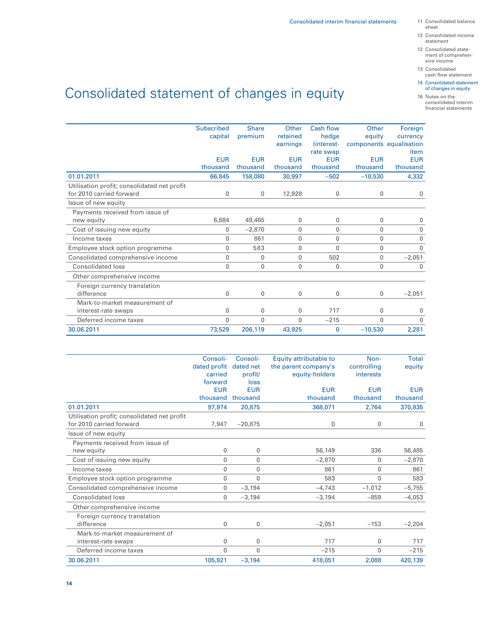- sheet
- 12 Consolidated income statement
- 12 Consolidated state ment of comprehen sive income
- 13 Consolidated cash flow statement
- 14 Consolidated statement of changes in equity

16 Notes on the consolidated interim financial statements

# Consolidated statement of changes in equity

|                                             | <b>Subscribed</b> | <b>Share</b> | Other        | Cash flow    | Other        | Foreign                 |
|---------------------------------------------|-------------------|--------------|--------------|--------------|--------------|-------------------------|
|                                             | capital           | premium      | retained     | hedge        | equity       | currency                |
|                                             |                   |              | earnings     | (interest-   |              | components equalisation |
|                                             |                   |              |              | rate swap    |              | item                    |
|                                             | <b>EUR</b>        | <b>EUR</b>   | <b>EUR</b>   | <b>EUR</b>   | <b>EUR</b>   | <b>EUR</b>              |
|                                             | thousand          | thousand     | thousand     | thousand     | thousand     | thousand                |
| 01.01.2011                                  | 66,845            | 158,080      | 30,997       | $-502$       | $-10,530$    | 4,332                   |
| Utilisation profit; consolidated net profit |                   |              |              |              |              |                         |
| for 2010 carried forward                    | 0                 | $\mathbf{0}$ | 12,928       | 0            | $\mathbf{0}$ | 0                       |
| Issue of new equity                         |                   |              |              |              |              |                         |
| Payments received from issue of             |                   |              |              |              |              |                         |
| new equity                                  | 6,684             | 49,465       | $\mathbf 0$  | 0            | $\mathbf 0$  | 0                       |
| Cost of issuing new equity                  | 0                 | $-2,870$     | $\mathbf{0}$ | $\mathbf{0}$ | $\mathbf{0}$ | 0                       |
| Income taxes                                | 0                 | 861          | $\mathbf{0}$ | $\mathbf{0}$ | $\mathbf{0}$ | $\mathbf{0}$            |
| Employee stock option programme             | $\mathbf{0}$      | 583          | $\mathbf{0}$ | 0            | $\mathbf 0$  | $\mathbf{0}$            |
| Consolidated comprehensive income           | $\mathbf{0}$      | $\mathbf{0}$ | $\mathbf{0}$ | 502          | $\mathbf{0}$ | $-2,051$                |
| <b>Consolidated loss</b>                    | $\mathbf{0}$      | $\mathbf{0}$ | $\mathbf{0}$ | 0            | $\mathbf 0$  | $\mathbf{0}$            |
| Other comprehensive income                  |                   |              |              |              |              |                         |
| Foreign currency translation                |                   |              |              |              |              |                         |
| difference                                  | $\mathbf{0}$      | 0            | $\mathbf 0$  | 0            | 0            | $-2,051$                |
| Mark-to-market measurement of               |                   |              |              |              |              |                         |
| interest-rate swaps                         | $\mathbf{0}$      | 0            | $\mathbf{0}$ | 717          | $\mathbf 0$  | 0                       |
| Deferred income taxes                       | $\mathbf{0}$      | $\mathbf{0}$ | $\Omega$     | $-215$       | $\Omega$     | $\Omega$                |
| 30.06.2011                                  | 73,529            | 206,119      | 43,925       | 0            | $-10,530$    | 2,281                   |
|                                             |                   |              |              |              |              |                         |

|                                             | Consoli-     | Consoli-     | Equity attributable to | Non-        | Total      |
|---------------------------------------------|--------------|--------------|------------------------|-------------|------------|
|                                             | dated profit | dated net    | the parent company's   | controlling | equity     |
|                                             | carried      | profit/      | equity-holders         | interests   |            |
|                                             | forward      | loss         |                        |             |            |
|                                             | <b>EUR</b>   | <b>EUR</b>   | <b>EUR</b>             | <b>EUR</b>  | <b>EUR</b> |
|                                             | thousand     | thousand     | thousand               | thousand    | thousand   |
| 01.01.2011                                  | 97,974       | 20,875       | 368,071                | 2,764       | 370,835    |
| Utilisation profit; consolidated net profit |              |              |                        |             |            |
| for 2010 carried forward                    | 7.947        | $-20.875$    | $\mathbf 0$            | 0           | 0          |
| Issue of new equity                         |              |              |                        |             |            |
| Payments received from issue of             |              |              |                        |             |            |
| new equity                                  | 0            | 0            | 56,149                 | 336         | 56,485     |
| Cost of issuing new equity                  | $\mathbf{0}$ | $\mathbf{0}$ | $-2,870$               | 0           | $-2,870$   |
| Income taxes                                | 0            | 0            | 861                    | 0           | 861        |
| Employee stock option programme             | 0            | $\mathbf{0}$ | 583                    | 0           | 583        |
| Consolidated comprehensive income           | $\mathbf{0}$ | $-3,194$     | $-4,743$               | $-1,012$    | $-5,755$   |
| <b>Consolidated loss</b>                    | 0            | $-3,194$     | $-3,194$               | $-859$      | $-4,053$   |
| Other comprehensive income                  |              |              |                        |             |            |
| Foreign currency translation                |              |              |                        |             |            |
| difference                                  | 0            | 0            | $-2,051$               | $-153$      | $-2,204$   |
| Mark-to-market measurement of               |              |              |                        |             |            |
| interest-rate swaps                         | $\mathbf{0}$ | 0            | 717                    | 0           | 717        |
| Deferred income taxes                       | 0            | $\mathbf{0}$ | $-215$                 | 0           | $-215$     |
| 30.06.2011                                  | 105,921      | $-3,194$     | 418.051                | 2,088       | 420,139    |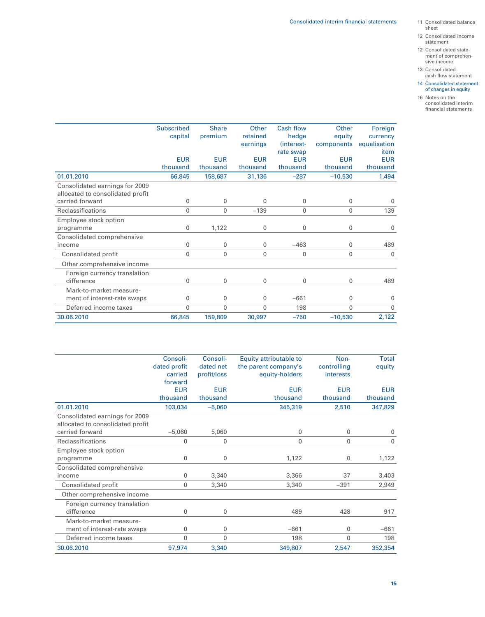- sheet
- 12 Consolidated income statement
- 12 Consolidated state ment of comprehensive income
- 13 Consolidated cash flow statement
- 14 Consolidated statement of changes in equity
- 16 Notes on the consolidated interim financial statements

|                                  | <b>Subscribed</b> | <b>Share</b> | Other        | <b>Cash flow</b> | Other        | Foreign      |
|----------------------------------|-------------------|--------------|--------------|------------------|--------------|--------------|
|                                  | capital           | premium      | retained     | hedge            | equity       | currency     |
|                                  |                   |              | earnings     | (interest-       | components   | equalisation |
|                                  |                   |              |              | rate swap        |              | item         |
|                                  | <b>EUR</b>        | <b>EUR</b>   | <b>EUR</b>   | <b>EUR</b>       | <b>EUR</b>   | <b>EUR</b>   |
|                                  | thousand          | thousand     | thousand     | thousand         | thousand     | thousand     |
| 01.01.2010                       | 66,845            | 158,687      | 31,136       | $-287$           | $-10,530$    | 1,494        |
| Consolidated earnings for 2009   |                   |              |              |                  |              |              |
| allocated to consolidated profit |                   |              |              |                  |              |              |
| carried forward                  | 0                 | $\mathbf{0}$ | 0            | 0                | 0            | 0            |
| <b>Reclassifications</b>         | 0                 | $\mathbf{0}$ | $-139$       | 0                | $\mathbf{0}$ | 139          |
| Employee stock option            |                   |              |              |                  |              |              |
| programme                        | $\mathbf 0$       | 1,122        | 0            | 0                | 0            | 0            |
| Consolidated comprehensive       |                   |              |              |                  |              |              |
| income                           | $\mathbf 0$       | $\mathbf 0$  | 0            | $-463$           | 0            | 489          |
| Consolidated profit              | $\mathbf{0}$      | $\mathbf 0$  | 0            | 0                | $\mathbf{0}$ | 0            |
| Other comprehensive income       |                   |              |              |                  |              |              |
| Foreign currency translation     |                   |              |              |                  |              |              |
| difference                       | $\mathbf{0}$      | $\mathbf{0}$ | 0            | 0                | 0            | 489          |
| Mark-to-market measure-          |                   |              |              |                  |              |              |
| ment of interest-rate swaps      | 0                 | 0            | 0            | $-661$           | 0            | 0            |
| Deferred income taxes            | 0                 | $\mathbf{0}$ | $\mathbf{0}$ | 198              | $\mathbf{0}$ | $\mathbf{0}$ |
| 30.06.2010                       | 66,845            | 159,809      | 30,997       | $-750$           | $-10,530$    | 2,122        |

|                                  | Consoli-     | Consoli-    | Equity attributable to | Non-        | Total       |
|----------------------------------|--------------|-------------|------------------------|-------------|-------------|
|                                  | dated profit | dated net   | the parent company's   | controlling | equity      |
|                                  | carried      | profit/loss | equity-holders         | interests   |             |
|                                  | forward      |             |                        |             |             |
|                                  | <b>EUR</b>   | <b>EUR</b>  | <b>EUR</b>             | <b>EUR</b>  | <b>EUR</b>  |
|                                  | thousand     | thousand    | thousand               | thousand    | thousand    |
| 01.01.2010                       | 103,034      | $-5,060$    | 345,319                | 2,510       | 347,829     |
| Consolidated earnings for 2009   |              |             |                        |             |             |
| allocated to consolidated profit |              |             |                        |             |             |
| carried forward                  | $-5.060$     | 5,060       | $\mathbf{0}$           | 0           | 0           |
| Reclassifications                | $\mathbf 0$  | 0           | 0                      | 0           | $\mathbf 0$ |
| Employee stock option            |              |             |                        |             |             |
| programme                        | $\mathbf 0$  | $\mathbf 0$ | 1,122                  | 0           | 1,122       |
| Consolidated comprehensive       |              |             |                        |             |             |
| income                           | $\mathbf 0$  | 3,340       | 3,366                  | 37          | 3,403       |
| Consolidated profit              | $\mathbf 0$  | 3,340       | 3,340                  | $-391$      | 2,949       |
| Other comprehensive income       |              |             |                        |             |             |
| Foreign currency translation     |              |             |                        |             |             |
| difference                       | 0            | 0           | 489                    | 428         | 917         |
| Mark-to-market measure-          |              |             |                        |             |             |
| ment of interest-rate swaps      | $\mathbf 0$  | 0           | $-661$                 | 0           | $-661$      |
| Deferred income taxes            | $\mathbf{0}$ | 0           | 198                    | 0           | 198         |
| 30.06.2010                       | 97,974       | 3,340       | 349,807                | 2,547       | 352,354     |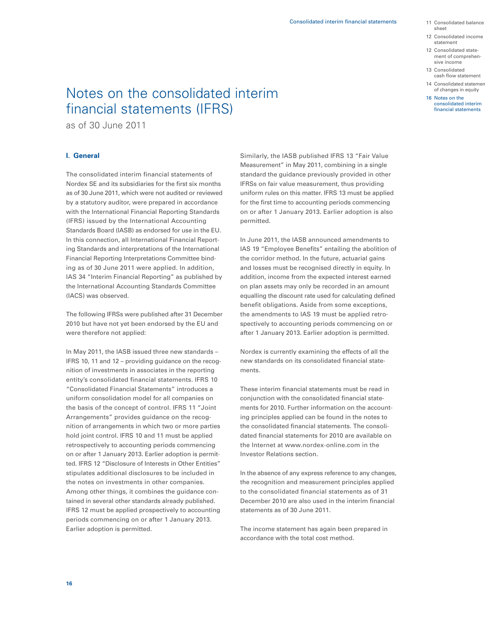- 11 Consolidated balance sheet
- 12 Consolidated income statement
- 12 Consolidated state ment of comprehen sive income
- 13 Consolidated cash flow statement
- 14 Consolidated statemer of changes in equity
- 16 Notes on the consolidated interim financial statements

# Notes on the consolidated interim financial statements (IFRS)

as of 30 June 2011

# **I. General**

The consolidated interim financial statements of Nordex SE and its subsidiaries for the first six months as of 30 June 2011, which were not audited or reviewed by a statutory auditor, were prepared in accordance with the International Financial Reporting Standards (IFRS) issued by the International Accounting Standards Board (IASB) as endorsed for use in the EU. In this connection, all International Financial Reporting Standards and interpretations of the International Financial Reporting Interpretations Committee binding as of 30 June 2011 were applied. In addition, IAS 34 "Interim Financial Reporting" as published by the International Accounting Standards Committee (IACS) was observed.

The following IFRSs were published after 31 December 2010 but have not yet been endorsed by the EU and were therefore not applied:

In May 2011, the IASB issued three new standards – IFRS 10, 11 and 12 – providing guidance on the recognition of investments in associates in the reporting entity's consolidated financial statements. IFRS 10 "Consolidated Financial Statements" introduces a uniform consolidation model for all companies on the basis of the concept of control. IFRS 11 "Joint Arrangements" provides guidance on the recognition of arrangements in which two or more parties hold joint control. IFRS 10 and 11 must be applied retrospectively to accounting periods commencing on or after 1 January 2013. Earlier adoption is permitted. IFRS 12 "Disclosure of Interests in Other Entities" stipulates additional disclosures to be included in the notes on investments in other companies. Among other things, it combines the guidance contained in several other standards already published. IFRS 12 must be applied prospectively to accounting periods commencing on or after 1 January 2013. Earlier adoption is permitted.

Similarly, the IASB published IFRS 13 "Fair Value Measurement" in May 2011, combining in a single standard the guidance previously provided in other IFRSs on fair value measurement, thus providing uniform rules on this matter. IFRS 13 must be applied for the first time to accounting periods commencing on or after 1 January 2013. Earlier adoption is also permitted.

In June 2011, the IASB announced amendments to IAS 19 "Employee Benefits" entailing the abolition of the corridor method. In the future, actuarial gains and losses must be recognised directly in equity. In addition, income from the expected interest earned on plan assets may only be recorded in an amount equalling the discount rate used for calculating defined benefit obligations. Aside from some exceptions, the amendments to IAS 19 must be applied retrospectively to accounting periods commencing on or after 1 January 2013. Earlier adoption is permitted.

Nordex is currently examining the effects of all the new standards on its consolidated financial statements.

These interim financial statements must be read in conjunction with the consolidated financial statements for 2010. Further information on the accounting principles applied can be found in the notes to the consolidated financial statements. The consolidated financial statements for 2010 are available on the Internet at www.nordex-online.com in the Investor Relations section.

In the absence of any express reference to any changes, the recognition and measurement principles applied to the consolidated financial statements as of 31 December 2010 are also used in the interim financial statements as of 30 June 2011.

The income statement has again been prepared in accordance with the total cost method.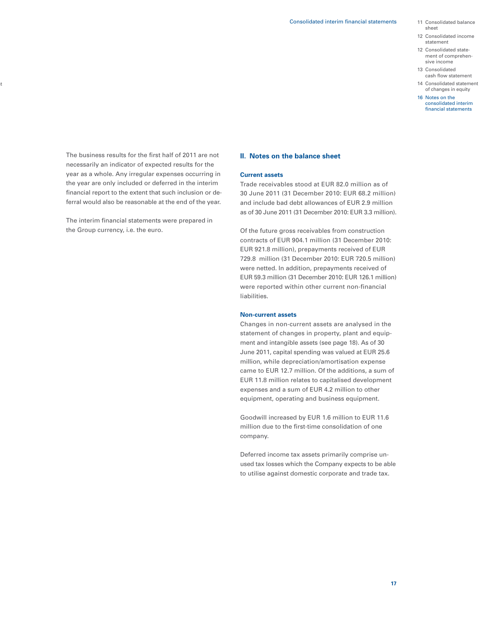- 11 Consolidated balance sheet
- 12 Consolidated income statement
- 12 Consolidated state ment of comprehensive income
- 13 Consolidated cash flow statement
- 14 Consolidated statement of changes in equity
- 16 Notes on the consolidated interim financial statements

The business results for the first half of 2011 are not necessarily an indicator of expected results for the year as a whole. Any irregular expenses occurring in the year are only included or deferred in the interim financial report to the extent that such inclusion or deferral would also be reasonable at the end of the year.

ıt.

The interim financial statements were prepared in the Group currency, i.e. the euro.

### **II. Notes on the balance sheet**

# **Current assets**

Trade receivables stood at EUR 82.0 million as of 30 June 2011 (31 December 2010: EUR 68.2 million) and include bad debt allowances of EUR 2.9 million as of 30 June 2011 (31 December 2010: EUR 3.3 million).

Of the future gross receivables from construction contracts of EUR 904.1 million (31 December 2010: EUR 921.8 million), prepayments received of EUR 729.8 million (31 December 2010: EUR 720.5 million) were netted. In addition, prepayments received of EUR 59.3 million (31 December 2010: EUR 126.1 million) were reported within other current non-financial liabilities.

# **Non-current assets**

Changes in non-current assets are analysed in the statement of changes in property, plant and equipment and intangible assets (see page 18). As of 30 June 2011, capital spending was valued at EUR 25.6 million, while depreciation/amortisation expense came to EUR 12.7 million. Of the additions, a sum of EUR 11.8 million relates to capitalised development expenses and a sum of EUR 4.2 million to other equipment, operating and business equipment.

Goodwill increased by EUR 1.6 million to EUR 11.6 million due to the first-time consolidation of one company.

Deferred income tax assets primarily comprise unused tax losses which the Company expects to be able to utilise against domestic corporate and trade tax.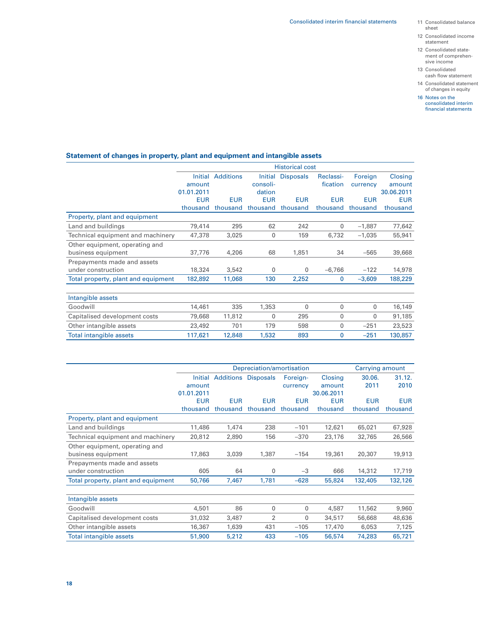- sheet
- 12 Consolidated income statement
- 12 Consolidated state ment of comprehensive income
- 13 Consolidated cash flow statement
- 14 Consolidated statement of changes in equity
- 16 Notes on the consolidated interim financial statements

# **Statement of changes in property, plant and equipment and intangible assets**

|                                     |            |                  |             | <b>Historical cost</b>   |            |            |            |
|-------------------------------------|------------|------------------|-------------|--------------------------|------------|------------|------------|
|                                     | Initial    | <b>Additions</b> |             | <b>Initial Disposals</b> | Reclassi-  | Foreign    | Closing    |
|                                     | amount     |                  | consoli-    |                          | fication   | currency   | amount     |
|                                     | 01.01.2011 |                  | dation      |                          |            |            | 30.06.2011 |
|                                     | <b>EUR</b> | <b>EUR</b>       | <b>EUR</b>  | <b>EUR</b>               | <b>EUR</b> | <b>EUR</b> | <b>EUR</b> |
|                                     | thousand   | thousand         | thousand    | thousand                 | thousand   | thousand   | thousand   |
| Property, plant and equipment       |            |                  |             |                          |            |            |            |
| Land and buildings                  | 79,414     | 295              | 62          | 242                      | 0          | $-1,887$   | 77,642     |
| Technical equipment and machinery   | 47,378     | 3,025            | $\mathbf 0$ | 159                      | 6,732      | $-1,035$   | 55,941     |
| Other equipment, operating and      |            |                  |             |                          |            |            |            |
| business equipment                  | 37,776     | 4,206            | 68          | 1,851                    | 34         | $-565$     | 39,668     |
| Prepayments made and assets         |            |                  |             |                          |            |            |            |
| under construction                  | 18,324     | 3,542            | 0           | 0                        | $-6,766$   | $-122$     | 14,978     |
| Total property, plant and equipment | 182,892    | 11,068           | 130         | 2,252                    | 0          | $-3,609$   | 188,229    |
|                                     |            |                  |             |                          |            |            |            |
| Intangible assets                   |            |                  |             |                          |            |            |            |
| Goodwill                            | 14,461     | 335              | 1,353       | 0                        | 0          | 0          | 16,149     |
| Capitalised development costs       | 79,668     | 11,812           | $\mathbf 0$ | 295                      | 0          | 0          | 91,185     |
| Other intangible assets             | 23,492     | 701              | 179         | 598                      | 0          | $-251$     | 23,523     |
| Total intangible assets             | 117,621    | 12,848           | 1,532       | 893                      | 0          | $-251$     | 130,857    |

|                                     |            | Depreciation/amortisation   |                |            |            | Carrying amount |            |
|-------------------------------------|------------|-----------------------------|----------------|------------|------------|-----------------|------------|
|                                     |            | Initial Additions Disposals |                | Foreign-   | Closing    | 30.06.          | 31.12.     |
|                                     | amount     |                             |                | currency   | amount     | 2011            | 2010       |
|                                     | 01.01.2011 |                             |                |            | 30.06.2011 |                 |            |
|                                     | <b>EUR</b> | <b>EUR</b>                  | <b>EUR</b>     | <b>EUR</b> | <b>EUR</b> | <b>EUR</b>      | <b>EUR</b> |
|                                     | thousand   | thousand                    | thousand       | thousand   | thousand   | thousand        | thousand   |
| Property, plant and equipment       |            |                             |                |            |            |                 |            |
| Land and buildings                  | 11,486     | 1,474                       | 238            | $-101$     | 12,621     | 65,021          | 67,928     |
| Technical equipment and machinery   | 20,812     | 2,890                       | 156            | $-370$     | 23,176     | 32,765          | 26,566     |
| Other equipment, operating and      |            |                             |                |            |            |                 |            |
| business equipment                  | 17,863     | 3,039                       | 1,387          | $-154$     | 19,361     | 20,307          | 19,913     |
| Prepayments made and assets         |            |                             |                |            |            |                 |            |
| under construction                  | 605        | 64                          | 0              | $-3$       | 666        | 14,312          | 17,719     |
| Total property, plant and equipment | 50,766     | 7,467                       | 1,781          | $-628$     | 55,824     | 132,405         | 132,126    |
|                                     |            |                             |                |            |            |                 |            |
| Intangible assets                   |            |                             |                |            |            |                 |            |
| Goodwill                            | 4,501      | 86                          | $\Omega$       | 0          | 4,587      | 11,562          | 9,960      |
| Capitalised development costs       | 31,032     | 3,487                       | $\overline{2}$ | 0          | 34,517     | 56,668          | 48,636     |
| Other intangible assets             | 16,367     | 1,639                       | 431            | $-105$     | 17,470     | 6,053           | 7,125      |
| <b>Total intangible assets</b>      | 51,900     | 5,212                       | 433            | $-105$     | 56,574     | 74,283          | 65,721     |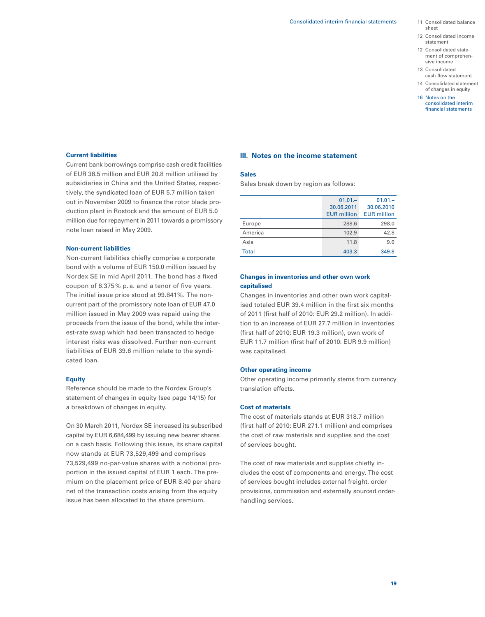- 11 Consolidated balance sheet
- 12 Consolidated income statement
- 12 Consolidated state ment of comprehensive income
- 13 Consolidated cash flow statement
- 14 Consolidated statement of changes in equity
- 16 Notes on the consolidated interim financial statements

### **Current liabilities**

Current bank borrowings comprise cash credit facilities of EUR 38.5 million and EUR 20.8 million utilised by subsidiaries in China and the United States, respectively, the syndicated loan of EUR 5.7 million taken out in November 2009 to finance the rotor blade production plant in Rostock and the amount of EUR 5.0 million due for repayment in 2011 towards a promissory note loan raised in May 2009.

#### **Non-current liabilities**

Non-current liabilities chiefly comprise a corporate bond with a volume of EUR 150.0 million issued by Nordex SE in mid April 2011. The bond has a fixed coupon of 6.375 % p. a. and a tenor of five years. The initial issue price stood at 99.841%. The noncurrent part of the promissory note loan of EUR 47.0 million issued in May 2009 was repaid using the proceeds from the issue of the bond, while the interest-rate swap which had been transacted to hedge interest risks was dissolved. Further non-current liabilities of EUR 39.6 million relate to the syndicated loan.

### **Equity**

Reference should be made to the Nordex Group's statement of changes in equity (see page 14/15) for a breakdown of changes in equity.

On 30 March 2011, Nordex SE increased its subscribed capital by EUR 6,684,499 by issuing new bearer shares on a cash basis. Following this issue, its share capital now stands at EUR 73,529,499 and comprises 73,529,499 no-par-value shares with a notional proportion in the issued capital of EUR 1 each. The premium on the placement price of EUR 8.40 per share net of the transaction costs arising from the equity issue has been allocated to the share premium.

### **III. Notes on the income statement**

## **Sales**

Sales break down by region as follows:

|         | $01.01 -$          | $01.01 -$          |
|---------|--------------------|--------------------|
|         | 30.06.2011         | 30.06.2010         |
|         | <b>EUR</b> million | <b>EUR</b> million |
| Europe  | 288.6              | 298.0              |
| America | 102.9              | 42.8               |
| Asia    | 11.8               | 9.0                |
| Total   | 403.3              | 349.8              |

# **Changes in inventories and other own work capitalised**

Changes in inventories and other own work capitalised totaled EUR 39.4 million in the first six months of 2011 (first half of 2010: EUR 29.2 million). In addition to an increase of EUR 27.7 million in inventories (first half of 2010: EUR 19.3 million), own work of EUR 11.7 million (first half of 2010: EUR 9.9 million) was capitalised.

#### **Other operating income**

Other operating income primarily stems from currency translation effects.

## **Cost of materials**

The cost of materials stands at EUR 318.7 million (first half of 2010: EUR 271.1 million) and comprises the cost of raw materials and supplies and the cost of services bought.

The cost of raw materials and supplies chiefly includes the cost of components and energy. The cost of services bought includes external freight, order provisions, commission and externally sourced orderhandling services.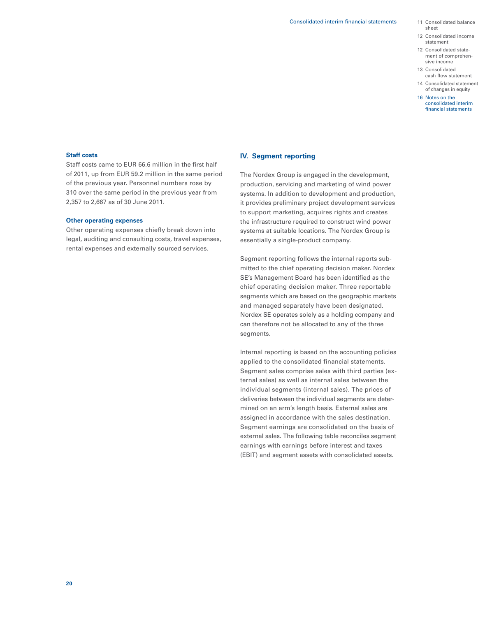- sheet
- 12 Consolidated income statement
- 12 Consolidated state ment of comprehensive income
- 13 Consolidated cash flow statement
- 14 Consolidated statement of changes in equity
- 16 Notes on the consolidated interim financial statements

### **Staff costs**

Staff costs came to EUR 66.6 million in the first half of 2011, up from EUR 59.2 million in the same period of the previous year. Personnel numbers rose by 310 over the same period in the previous year from 2,357 to 2,667 as of 30 June 2011.

## **Other operating expenses**

Other operating expenses chiefly break down into legal, auditing and consulting costs, travel expenses, rental expenses and externally sourced services.

# **IV. Segment reporting**

The Nordex Group is engaged in the development, production, servicing and marketing of wind power systems. In addition to development and production, it provides preliminary project development services to support marketing, acquires rights and creates the infrastructure required to construct wind power systems at suitable locations. The Nordex Group is essentially a single-product company.

Segment reporting follows the internal reports submitted to the chief operating decision maker. Nordex SE's Management Board has been identified as the chief operating decision maker. Three reportable segments which are based on the geographic markets and managed separately have been designated. Nordex SE operates solely as a holding company and can therefore not be allocated to any of the three segments.

Internal reporting is based on the accounting policies applied to the consolidated financial statements. Segment sales comprise sales with third parties (external sales) as well as internal sales between the individual segments (internal sales). The prices of deliveries between the individual segments are determined on an arm's length basis. External sales are assigned in accordance with the sales destination. Segment earnings are consolidated on the basis of external sales. The following table reconciles segment earnings with earnings before interest and taxes (EBIT) and segment assets with consolidated assets.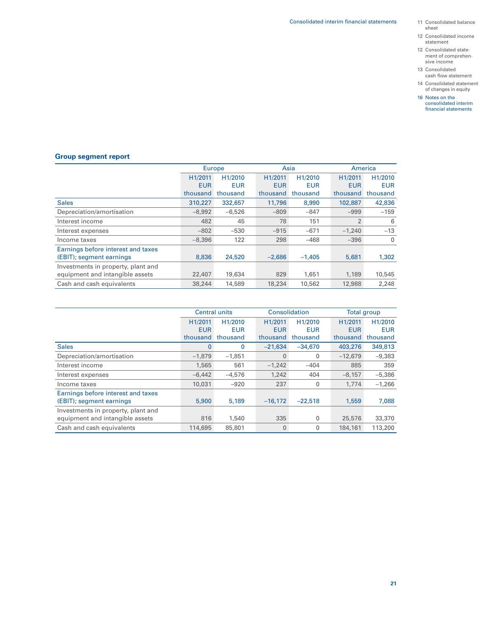- 11 Consolidated balance sheet
- 12 Consolidated income statement
- 12 Consolidated state- ment of comprehen- sive income
- 13 Consolidated cash flow statement
- 14 Consolidated statement of changes in equity
- 16 Notes on the consolidated interim financial statements

# **Group segment report**

|                                    | Europe     |                      | Asia       |            | America        |             |
|------------------------------------|------------|----------------------|------------|------------|----------------|-------------|
|                                    | H1/2011    | H <sub>1</sub> /2010 | H1/2011    | H1/2010    | H1/2011        | H1/2010     |
|                                    | <b>EUR</b> | <b>EUR</b>           | <b>EUR</b> | <b>EUR</b> | <b>EUR</b>     | <b>EUR</b>  |
|                                    | thousand   | thousand             | thousand   | thousand   | thousand       | thousand    |
| <b>Sales</b>                       | 310,227    | 332,657              | 11,796     | 8,990      | 102,887        | 42,836      |
| Depreciation/amortisation          | $-8.992$   | $-6.526$             | $-809$     | $-847$     | $-999$         | $-159$      |
| Interest income                    | 482        | 45                   | 78         | 151        | $\overline{2}$ | 6           |
| Interest expenses                  | $-802$     | $-530$               | $-915$     | $-671$     | $-1,240$       | $-13$       |
| Income taxes                       | $-8.396$   | 122                  | 298        | $-468$     | $-396$         | $\mathbf 0$ |
| Earnings before interest and taxes |            |                      |            |            |                |             |
| (EBIT); segment earnings           | 8,836      | 24,520               | $-2,686$   | $-1,405$   | 5,681          | 1,302       |
| Investments in property, plant and |            |                      |            |            |                |             |
| equipment and intangible assets    | 22,407     | 19,634               | 829        | 1,651      | 1,189          | 10,545      |
| Cash and cash equivalents          | 38,244     | 14,589               | 18,234     | 10,562     | 12,988         | 2,248       |

|                                    |              | <b>Central units</b> | Consolidation |            | Total group |            |
|------------------------------------|--------------|----------------------|---------------|------------|-------------|------------|
|                                    | H1/2011      | H1/2010              | H1/2011       | H1/2010    | H1/2011     | H1/2010    |
|                                    | <b>EUR</b>   | <b>EUR</b>           | <b>EUR</b>    | <b>EUR</b> | <b>EUR</b>  | <b>EUR</b> |
|                                    | thousand     | thousand             | thousand      | thousand   | thousand    | thousand   |
| <b>Sales</b>                       | $\mathbf{0}$ | 0                    | $-21.634$     | $-34.670$  | 403,276     | 349,813    |
| Depreciation/amortisation          | $-1.879$     | $-1,851$             | 0             | 0          | $-12,679$   | $-9,383$   |
| Interest income                    | 1,565        | 561                  | $-1,242$      | $-404$     | 885         | 359        |
| Interest expenses                  | $-6.442$     | $-4.576$             | 1,242         | 404        | $-8.157$    | $-5,386$   |
| Income taxes                       | 10,031       | $-920$               | 237           | 0          | 1,774       | $-1,266$   |
| Earnings before interest and taxes |              |                      |               |            |             |            |
| (EBIT); segment earnings           | 5,900        | 5,189                | $-16,172$     | $-22.518$  | 1,559       | 7,088      |
| Investments in property, plant and |              |                      |               |            |             |            |
| equipment and intangible assets    | 816          | 1,540                | 335           | 0          | 25,576      | 33,370     |
| Cash and cash equivalents          | 114,695      | 85,801               | $\mathbf 0$   | 0          | 184,161     | 113,200    |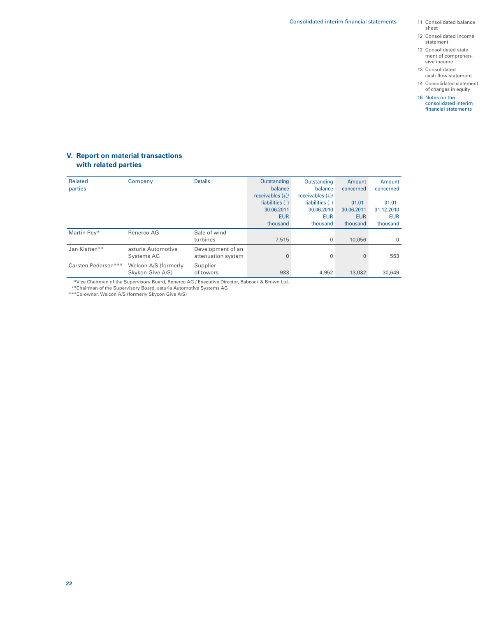- 11 Consolidated balance sheet
- 12 Consolidated income statement
- 12 Consolidated state ment of comprehensive income
- 13 Consolidated cash flow statement
- 14 Consolidated statement of changes in equity
- 16 Notes on the consolidated interim financial statements

# **V. Report on material transactions with related parties**

| <b>Related</b><br>parties | Company              | <b>Details</b>     | Outstanding<br>balance | Outstanding<br>balance | Amount<br>concerned | Amount<br>concerned |
|---------------------------|----------------------|--------------------|------------------------|------------------------|---------------------|---------------------|
|                           |                      |                    | receivables $(+)/$     | receivables $(+)/$     |                     |                     |
|                           |                      |                    | liabilities $(-)$      | liabilities $(-)$      | $01.01 -$           | $01.01 -$           |
|                           |                      |                    | 30.06.2011             | 30.06.2010             | 30.06.2011          | 31.12.2010          |
|                           |                      |                    | <b>EUR</b>             | <b>EUR</b>             | <b>EUR</b>          | <b>EUR</b>          |
|                           |                      |                    | thousand               | thousand               | thousand            | thousand            |
| Martin Rev*               | Renerco AG           | Sale of wind       |                        |                        |                     |                     |
|                           |                      | turbines           | 7.515                  | $\mathbf 0$            | 10,056              | $\Omega$            |
| Jan Klatten**             | asturia Automotive   | Development of an  |                        |                        |                     |                     |
|                           | Systems AG           | attenuation system | $\Omega$               | $\mathbf{0}$           | $\mathbf{0}$        | 553                 |
| Carsten Pedersen***       | Welcon A/S (formerly | Supplier           |                        |                        |                     |                     |
|                           | Skykon Give A/S)     | of towers          | $-983$                 | 4,952                  | 13,032              | 30,649              |

\*\*\*Vice Chairman of the Supervisory Board, Renerco AG / Executive Director, Babcock & Brown Ltd. \*\*\*Chairman of the Supervisory Board, asturia Automotive Systems AG

\*\*\*Co-owner, Welcon A/S (formerly Skycon Give A/S)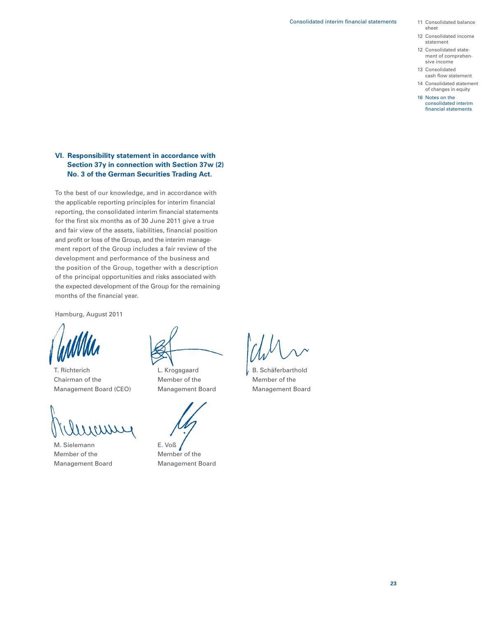- 11 Consolidated balance sheet
- 12 Consolidated income statement
- 12 Consolidated state ment of comprehensive income
- 13 Consolidated cash flow statement
- 14 Consolidated statement of changes in equity
- 16 Notes on the consolidated interim financial statements

# **VI. Responsibility statement in accordance with Section 37y in connection with Section 37w (2) No. 3 of the German Securities Trading Act.**

To the best of our knowledge, and in accordance with the applicable reporting principles for interim financial reporting, the consolidated interim financial statements for the first six months as of 30 June 2011 give a true and fair view of the assets, liabilities, financial position and profit or loss of the Group, and the interim management report of the Group includes a fair review of the development and performance of the business and the position of the Group, together with a description of the principal opportunities and risks associated with the expected development of the Group for the remaining months of the financial year.

Hamburg, August 2011

T. Richterich L. Krogsgaard V. B. Schäferbarthold Chairman of the Member of the Member of the Member of the Management Board (CEO) Management Board Management Board

M. Sielemann E. Voß Member of the Member of the Management Board Management Board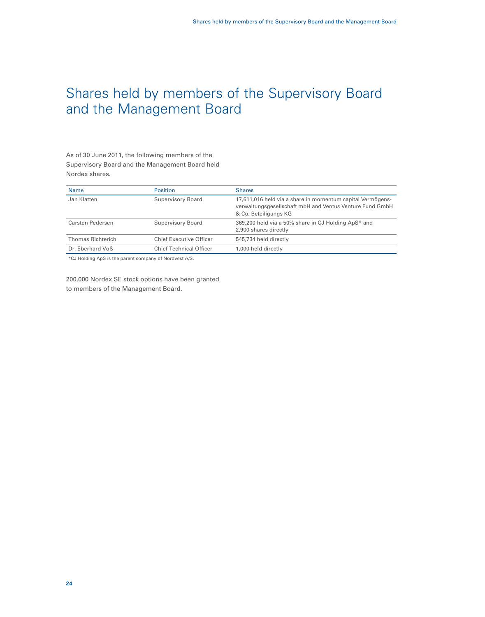# Shares held by members of the Supervisory Board and the Management Board

As of 30 June 2011, the following members of the Supervisory Board and the Management Board held Nordex shares.

| <b>Name</b>              | <b>Position</b>                | <b>Shares</b>                                                                                                                                   |
|--------------------------|--------------------------------|-------------------------------------------------------------------------------------------------------------------------------------------------|
| Jan Klatten              | Supervisory Board              | 17,611,016 held via a share in momentum capital Vermögens-<br>verwaltungsgesellschaft mbH and Ventus Venture Fund GmbH<br>& Co. Beteiligungs KG |
| Carsten Pedersen         | Supervisory Board              | 369,200 held via a 50% share in CJ Holding ApS* and<br>2,900 shares directly                                                                    |
| <b>Thomas Richterich</b> | <b>Chief Executive Officer</b> | 545,734 held directly                                                                                                                           |
| Dr. Eberhard Voß         | <b>Chief Technical Officer</b> | 1,000 held directly                                                                                                                             |
|                          |                                |                                                                                                                                                 |

\*CJ Holding ApS is the parent company of Nordvest A/S.

200,000 Nordex SE stock options have been granted to members of the Management Board.